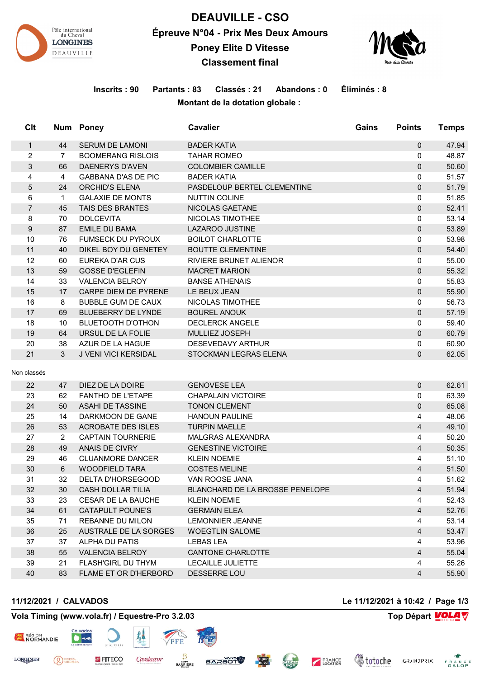

# **DEAUVILLE - CSO Épreuve N°04 - Prix Mes Deux Amours Poney Elite D Vitesse Classement final**



# **Inscrits : 90 Partants : 83 Classés : 21 Abandons : 0 Éliminés : 8 Montant de la dotation globale :**

| C <sub>It</sub>         |                | Num Poney                  | <b>Cavalier</b>                 | Gains | <b>Points</b>            | <b>Temps</b> |
|-------------------------|----------------|----------------------------|---------------------------------|-------|--------------------------|--------------|
| $\mathbf{1}$            | 44             | <b>SERUM DE LAMONI</b>     | <b>BADER KATIA</b>              |       | $\mathbf{0}$             | 47.94        |
| $\overline{\mathbf{c}}$ | $\overline{7}$ | <b>BOOMERANG RISLOIS</b>   | <b>TAHAR ROMEO</b>              |       | 0                        | 48.87        |
| 3                       | 66             | <b>DAENERYS D'AVEN</b>     | <b>COLOMBIER CAMILLE</b>        |       | $\mathbf{0}$             | 50.60        |
| 4                       | $\overline{4}$ | <b>GABBANA D'AS DE PIC</b> | <b>BADER KATIA</b>              |       | 0                        | 51.57        |
| 5                       | 24             | <b>ORCHID'S ELENA</b>      | PASDELOUP BERTEL CLEMENTINE     |       | 0                        | 51.79        |
| 6                       | $\mathbf 1$    | <b>GALAXIE DE MONTS</b>    | <b>NUTTIN COLINE</b>            |       | 0                        | 51.85        |
| $\overline{7}$          | 45             | <b>TAIS DES BRANTES</b>    | NICOLAS GAETANE                 |       | $\Omega$                 | 52.41        |
| 8                       | 70             | <b>DOLCEVITA</b>           | NICOLAS TIMOTHEE                |       | 0                        | 53.14        |
| $\boldsymbol{9}$        | 87             | <b>EMILE DU BAMA</b>       | LAZAROO JUSTINE                 |       | 0                        | 53.89        |
| 10                      | 76             | <b>FUMSECK DU PYROUX</b>   | <b>BOILOT CHARLOTTE</b>         |       | 0                        | 53.98        |
| 11                      | 40             | DIKEL BOY DU GENETEY       | <b>BOUTTE CLEMENTINE</b>        |       | 0                        | 54.40        |
| 12                      | 60             | EUREKA D'AR CUS            | RIVIERE BRUNET ALIENOR          |       | 0                        | 55.00        |
| 13                      | 59             | <b>GOSSE D'EGLEFIN</b>     | <b>MACRET MARION</b>            |       | 0                        | 55.32        |
| 14                      | 33             | <b>VALENCIA BELROY</b>     | <b>BANSE ATHENAIS</b>           |       | 0                        | 55.83        |
| 15                      | 17             | CARPE DIEM DE PYRENE       | LE BEUX JEAN                    |       | 0                        | 55.90        |
| 16                      | 8              | <b>BUBBLE GUM DE CAUX</b>  | NICOLAS TIMOTHEE                |       | 0                        | 56.73        |
| 17                      | 69             | BLUEBERRY DE LYNDE         | <b>BOUREL ANOUK</b>             |       | 0                        | 57.19        |
| 18                      | 10             | <b>BLUETOOTH D'OTHON</b>   | <b>DECLERCK ANGELE</b>          |       | 0                        | 59.40        |
| 19                      | 64             | URSUL DE LA FOLIE          | MULLIEZ JOSEPH                  |       | $\Omega$                 | 60.79        |
| 20                      | 38             | AZUR DE LA HAGUE           | <b>DESEVEDAVY ARTHUR</b>        |       | 0                        | 60.90        |
| 21                      | 3              | J VENI VICI KERSIDAL       | STOCKMAN LEGRAS ELENA           |       | 0                        | 62.05        |
| Non classés             |                |                            |                                 |       |                          |              |
|                         |                |                            |                                 |       |                          |              |
| 22                      | 47             | DIEZ DE LA DOIRE           | <b>GENOVESE LEA</b>             |       | 0                        | 62.61        |
| 23                      | 62             | <b>FANTHO DE L'ETAPE</b>   | <b>CHAPALAIN VICTOIRE</b>       |       | 0                        | 63.39        |
| 24                      | 50             | <b>ASAHI DE TASSINE</b>    | <b>TONON CLEMENT</b>            |       | 0                        | 65.08        |
| 25                      | 14             | DARKMOON DE GANE           | <b>HANOUN PAULINE</b>           |       | 4                        | 48.06        |
| 26                      | 53             | <b>ACROBATE DES ISLES</b>  | <b>TURPIN MAELLE</b>            |       | $\overline{\mathcal{A}}$ | 49.10        |
| 27                      | $\overline{2}$ | <b>CAPTAIN TOURNERIE</b>   | <b>MALGRAS ALEXANDRA</b>        |       | 4                        | 50.20        |
| 28                      | 49             | <b>ANAIS DE CIVRY</b>      | <b>GENESTINE VICTOIRE</b>       |       | $\overline{4}$           | 50.35        |
| 29                      | 46             | <b>CLUANMORE DANCER</b>    | <b>KLEIN NOEMIE</b>             |       | 4                        | 51.10        |
| 30                      | 6              | <b>WOODFIELD TARA</b>      | <b>COSTES MELINE</b>            |       | $\overline{4}$           | 51.50        |
| 31                      | 32             | <b>DELTA D'HORSEGOOD</b>   | VAN ROOSE JANA                  |       | 4                        | 51.62        |
| 32                      | 30             | CASH DOLLAR TILIA          | BLANCHARD DE LA BROSSE PENELOPE |       | 4                        | 51.94        |
| 33                      | 23             | <b>CESAR DE LA BAUCHE</b>  | <b>KLEIN NOEMIE</b>             |       | 4                        | 52.43        |
| 34                      | 61             | <b>CATAPULT POUNE'S</b>    | <b>GERMAIN ELEA</b>             |       | 4                        | 52.76        |
| 35                      | 71             | <b>REBANNE DU MILON</b>    | LEMONNIER JEANNE                |       | 4                        | 53.14        |
| 36                      | 25             | AUSTRALE DE LA SORGES      | <b>WOEGTLIN SALOME</b>          |       | 4                        | 53.47        |
| 37                      | 37             | ALPHA DU PATIS             | <b>LEBAS LEA</b>                |       | 4                        | 53.96        |
| 38                      | 55             | <b>VALENCIA BELROY</b>     | CANTONE CHARLOTTE               |       | $\overline{4}$           | 55.04        |
| 39                      | 21             | <b>FLASH'GIRL DU THYM</b>  | LECAILLE JULIETTE               |       | 4                        | 55.26        |
| 40                      | 83             | FLAME ET OR D'HERBORD      | DESSERRE LOU                    |       | 4                        | 55.90        |

**SARAOT** 

EQUIP"

**CLEAN** 

<sup>PIERRE</sup>

RÉGION

**LONGINES** 

**Vola Timing (www.vola.fr) / Equestre-Pro 3.2.03 Top Départ VOLA** 

FITECO

Cavalassur

**BARRIERE** 

**11/12/2021 / CALVADOS Le 11/12/2021 à 10:42 / Page 1/3**

**Voloche** GRANDPRIX FRANCE

FRANCE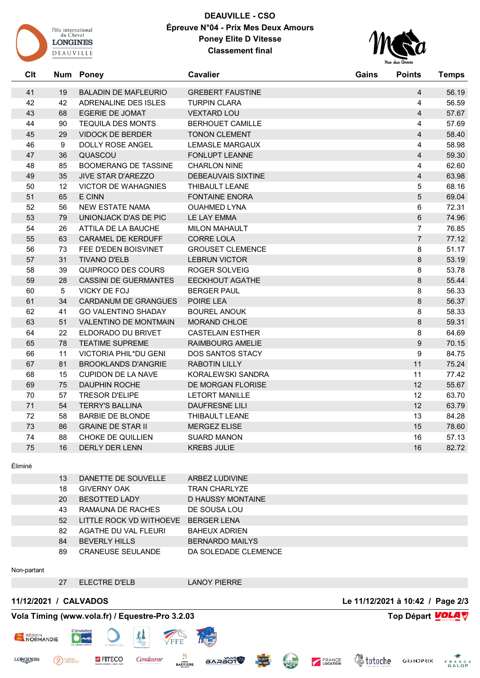

# **DEAUVILLE - CSO Épreuve N°04 - Prix Mes Deux Amours Poney Elite D Vitesse Classement final**



| C <sub>it</sub> | <b>Num</b>      | <b>Poney</b>                 | <b>Cavalier</b>         | Gains | <b>Points</b>    | <b>Temps</b> |
|-----------------|-----------------|------------------------------|-------------------------|-------|------------------|--------------|
| 41              | 19              | <b>BALADIN DE MAFLEURIO</b>  | <b>GREBERT FAUSTINE</b> |       | $\overline{4}$   | 56.19        |
| 42              | 42              | <b>ADRENALINE DES ISLES</b>  | <b>TURPIN CLARA</b>     |       | $\overline{4}$   | 56.59        |
| 43              | 68              | <b>EGERIE DE JOMAT</b>       | <b>VEXTARD LOU</b>      |       | $\overline{4}$   | 57.67        |
| 44              | 90              | <b>TEQUILA DES MONTS</b>     | <b>BERHOUET CAMILLE</b> |       | $\overline{4}$   | 57.69        |
| 45              | 29              | <b>VIDOCK DE BERDER</b>      | <b>TONON CLEMENT</b>    |       | $\overline{4}$   | 58.40        |
| 46              | 9               | DOLLY ROSE ANGEL             | <b>LEMASLE MARGAUX</b>  |       | $\overline{4}$   | 58.98        |
| 47              | 36              | QUASCOU                      | <b>FONLUPT LEANNE</b>   |       | $\overline{4}$   | 59.30        |
| 48              | 85              | <b>BOOMERANG DE TASSINE</b>  | <b>CHARLON NINE</b>     |       | $\overline{4}$   | 62.60        |
| 49              | 35              | <b>JIVE STAR D'AREZZO</b>    | DEBEAUVAIS SIXTINE      |       | $\overline{4}$   | 63.98        |
| 50              | 12              | <b>VICTOR DE WAHAGNIES</b>   | THIBAULT LEANE          |       | 5                | 68.16        |
| 51              | 65              | E CINN                       | <b>FONTAINE ENORA</b>   |       | 5                | 69.04        |
| 52              | 56              | <b>NEW ESTATE NAMA</b>       | <b>OUAHMED LYNA</b>     |       | 6                | 72.31        |
| 53              | 79              | UNIONJACK D'AS DE PIC        | LE LAY EMMA             |       | $\,6\,$          | 74.96        |
| 54              | 26              | ATTILA DE LA BAUCHE          | <b>MILON MAHAULT</b>    |       | $\overline{7}$   | 76.85        |
| 55              | 63              | CARAMEL DE KERDUFF           | <b>CORRE LOLA</b>       |       | $\overline{7}$   | 77.12        |
| 56              | 73              | FEE D'EDEN BOISVINET         | <b>GROUSET CLEMENCE</b> |       | 8                | 51.17        |
| 57              | 31              | <b>TIVANO D'ELB</b>          | <b>LEBRUN VICTOR</b>    |       | 8                | 53.19        |
| 58              | 39              | QUIPROCO DES COURS           | <b>ROGER SOLVEIG</b>    |       | 8                | 53.78        |
| 59              | 28              | <b>CASSINI DE GUERMANTES</b> | EECKHOUT AGATHE         |       | 8                | 55.44        |
| 60              | $5\phantom{.0}$ | <b>VICKY DE FOJ</b>          | <b>BERGER PAUL</b>      |       | 8                | 56.33        |
| 61              | 34              | CARDANUM DE GRANGUES         | POIRE LEA               |       | 8                | 56.37        |
| 62              | 41              | <b>GO VALENTINO SHADAY</b>   | <b>BOUREL ANOUK</b>     |       | 8                | 58.33        |
| 63              | 51              | <b>VALENTINO DE MONTMAIN</b> | <b>MORAND CHLOE</b>     |       | 8                | 59.31        |
| 64              | 22              | ELDORADO DU BRIVET           | <b>CASTELAIN ESTHER</b> |       | 8                | 64.69        |
| 65              | 78              | <b>TEATIME SUPREME</b>       | RAIMBOURG AMELIE        |       | $\overline{9}$   | 70.15        |
| 66              | 11              | VICTORIA PHIL*DU GENI        | <b>DOS SANTOS STACY</b> |       | $\boldsymbol{9}$ | 84.75        |
| 67              | 81              | <b>BROOKLANDS D'ANGRIE</b>   | <b>RABOTIN LILLY</b>    |       | 11               | 75.24        |
| 68              | 15              | <b>CUPIDON DE LA NAVE</b>    | KORALEWSKI SANDRA       |       | 11               | 77.42        |
| 69              | 75              | <b>DAUPHIN ROCHE</b>         | DE MORGAN FLORISE       |       | 12               | 55.67        |
| 70              | 57              | <b>TRESOR D'ELIPE</b>        | <b>LETORT MANILLE</b>   |       | 12               | 63.70        |
| 71              | 54              | <b>TERRY'S BALLINA</b>       | <b>DAUFRESNE LILI</b>   |       | 12               | 63.79        |
| 72              | 58              | <b>BARBIE DE BLONDE</b>      | THIBAULT LEANE          |       | 13               | 84.28        |
| 73              | 86              | <b>GRAINE DE STAR II</b>     | <b>MERGEZ ELISE</b>     |       | 15               | 78.60        |
| 74              | 88              | CHOKE DE QUILLIEN            | <b>SUARD MANON</b>      |       | 16               | 57.13        |
| 75              | 16              | <b>DERLY DER LENN</b>        | <b>KREBS JULIE</b>      |       | 16               | 82.72        |

Éliminé

| 13 | DANETTE DE SOUVELLE     | ARBEZ LUDIVINE         |
|----|-------------------------|------------------------|
| 18 | <b>GIVERNY OAK</b>      | TRAN CHARLYZE          |
| 20 | <b>BESOTTED LADY</b>    | D HAUSSY MONTAINE      |
| 43 | RAMAUNA DE RACHES       | DE SOUSA LOU           |
| 52 | LITTLE ROCK VD WITHOEVE | <b>BERGER LENA</b>     |
| 82 | AGATHE DU VAL FLEURI    | <b>BAHEUX ADRIEN</b>   |
| 84 | BEVERLY HILLS           | <b>BERNARDO MAILYS</b> |
| 89 | CRANEUSE SEULANDE       | DA SOLEDADE CLEMENCE   |

Non-partant

**LONGINES** 

27 ELECTRE D'ELB LANOY PIERRE

**BARAOT** 

<sup>PIERRE</sup>

# **Vola Timing (www.vola.fr) / Equestre-Pro 3.2.03 Top Départ VOLA**

FITECO

墾

Cavalassur

FFE

 $\frac{B}{BARRIERE}$ 



**11/12/2021 / CALVADOS Le 11/12/2021 à 10:42 / Page 2/3**

*<u>&totoche</u>* 

FRANCE

**CLEAN** 

**GRANDPRIX** FRANCE